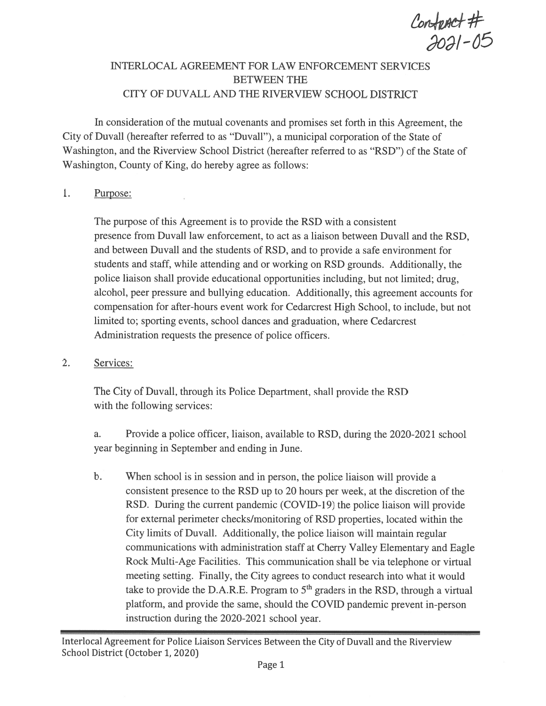$\frac{ \text{Confluct #}}{ \text{2021 - 05}}$ 

# INTERLOCAL AGREEMENT FOR LAW ENFORCEMENT SERVICES BETWEEN THE CITY OF DUVALL AND THE RIVERVIEW SCHOOL DISTRICT

In consideration of the mutual covenants and promises set forth in this Agreement, the City of Duvall (hereafter referred to as "Duvall"), <sup>a</sup> municipal corporation of the State of Washington, and the Riverview School District (hereafter referred to as "RSD") of the State of Washington, County of King, do hereby agree as follows:

#### $1.$ Purpose:

The purpose of this Agreement is to provide the RSD with <sup>a</sup> consistent presence from Duvall law enforcement, to act as <sup>a</sup> liaison between Duvall and the RSD, and between Duvall and the students of RSD, and to provide <sup>a</sup> safe environment for students and staff, while attending and or working on RSD grounds. Additionally, the police liaison shall provide educational opportunities including, but not limited; drug, alcohol, peer pressure and bullying education. Additionally, this agreemen<sup>t</sup> accounts for compensation for after-hours event work for Cedarcrest High School, to include, but not limited to; sporting events, school dances and graduation, where Cedarcrest Administration requests the presence of police officers.

2. Services:

The City of Duvall, through its Police Department, shall provide the RSD with the following services:

a. Provide a police officer, liaison, available to RSD, during the 2020-2021 school year beginning in September and ending in June.

b. When school is in session and in person, the police liaison will provide <sup>a</sup> consistent presence to the RSD up to 20 hours per week, at the discretion of the RSD. During the current pandemic (COVID-19) the police liaison will provide for external perimeter checks/monitoring of RSD properties, located within the City limits of Duvall. Additionally, the police liaison will maintain regular communications with administration staff at Cherry Valley Elementary and Eagle Rock Multi-Age Facilities. This communication shall be via telephone or virtual meeting setting. Finally, the City agrees to conduct research into what it would take to provide the D.A.R.E. Program to  $5<sup>th</sup>$  graders in the RSD, through a virtual <sup>p</sup>latform, and provide the same, should the COVID pandemic preven<sup>t</sup> in-person instruction during the 2020-2021 school year.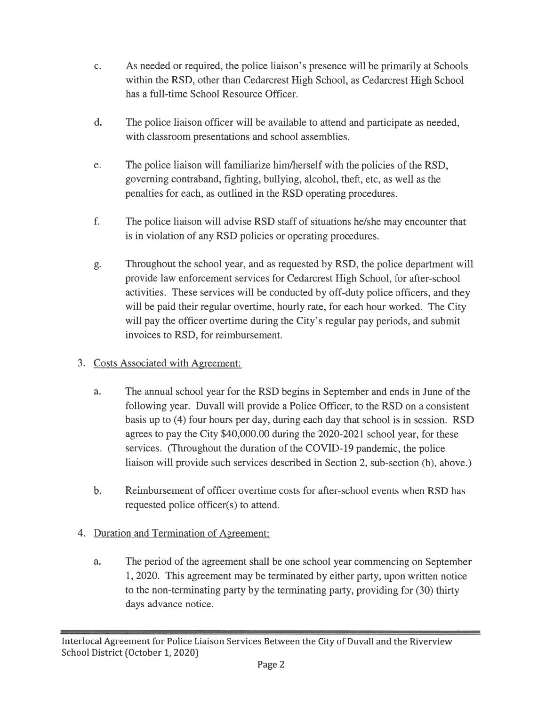- C. As needed or required, the police liaison's presence will be primarily at Schools within the RSD, other than Cedarcrest High School, as Cedarcrest High School has <sup>a</sup> full-time School Resource Officer.
- d. The police liaison officer will be available to attend and participate as needed, with classroom presentations and school assemblies.
- e. The police liaison will familiarize him/herself with the policies of the RSD, governing contraband, fighting, bullying, alcohol, theft, etc, as well as the penalties for each, as outlined in the RSD operating procedures.
- f. The police liaison will advise RSD staff of situations he/she may encounter that is in violation of any RSD policies or operating procedures.
- g. Throughout the school year, and as requested by RSD, the police department will provide law enforcement services for Cedarcrest High School, for after-school activities. These services will be conducted by off-duty police officers, and they will be paid their regular overtime, hourly rate, for each hour worked. The City will pay the officer overtime during the City's regular pay periods, and submit invoices to RSD, for reimbursement.
- 3. Costs Associated with Agreement:
	- a. The annual school year for the RSD begins in September and ends in June of the following year. Duvall will provide <sup>a</sup> Police Officer, to the RSD on <sup>a</sup> consistent basis up to (4) four hours per day, during each day that school is in session. RSD agrees to pay the City \$40,000.00 during the 2020-2021 school year, for these services. (Throughout the duration of the COVID-19 pandemic, the police liaison will provide such services described in Section 2, sub-section (b), above.)
	- b. Reimbursement of officer overtime costs for after-school events when RSD has requested police officer(s) to attend.
- 4. Duration and Termination of Agreement:
	- a. The period of the agreemen<sup>t</sup> shall be one school year commencing on September 1 , 2020. This agreemen<sup>t</sup> may be terminated by either party, upon written notice to the non-terminating party by the terminating party, providing for (30) thirty days advance notice.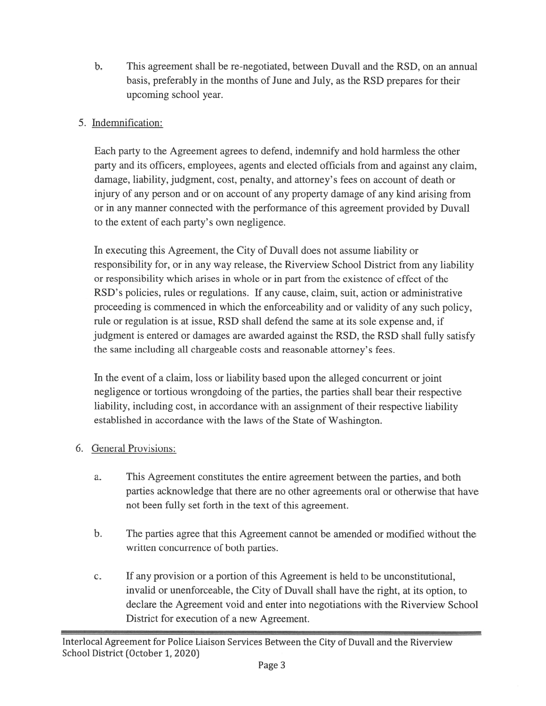b. This agreemen<sup>t</sup> shall be re-negotiated, between Duvall and the RSD, on an annual basis, preferably in the months of June and July, as the RSD prepares for their upcoming school year.

# 5. Indemnification:

Each party to the Agreement agrees to defend, indemnify and hold harmless the other party and its officers, employees, agents and elected officials from and against any claim, damage, liability, judgment, cost, penalty, and attorney's fees on account of death or injury of any person and or on account of any property damage of any kind arising from or in any manner connected with the performance of this agreemen<sup>t</sup> provided by Duvall to the extent of each party' <sup>s</sup> own negligence.

In executing this Agreement, the City of Duvall does not assume liability or responsibility for, or in any way release, the Riverview School District from any liability or responsibility which arises in whole or in par<sup>t</sup> from the existence of effect of the RSD's policies, rules or regulations. If any cause, claim, suit, action or administrative proceeding is commenced in which the enforceability and or validity of any such policy, rule or regulation is at issue, RSD shall defend the same at its sole expense and, if judgment is entered or damages are awarded against the RSD, the RSD shall fully satisfy the same including all chargeable costs and reasonable attorney's fees.

In the event of <sup>a</sup> claim, loss or liability based upon the alleged concurrent or joint negligence or tortious wrongdoing of the parties, the parties shall bear their respective liability, including cost, in accordance with an assignment of their respective liability established in accordance with the laws of the State of Washington.

# 6. General Provisions:

- a. This Agreement constitutes the entire agreemen<sup>t</sup> between the parties, and both parties acknowledge that there are no other agreements oral or otherwise that have not been fully set forth in the text of this agreement.
- b. The parties agree that this Agreement cannot be amended or modified without the written concurrence of both parties.
- c. If any provision or <sup>a</sup> portion of this Agreement is held to be unconstitutional, invalid or unenforceable, the City of Duvall shall have the right, at its option, to declare the Agreement void and enter into negotiations with the Riverview School District for execution of <sup>a</sup> new Agreement.